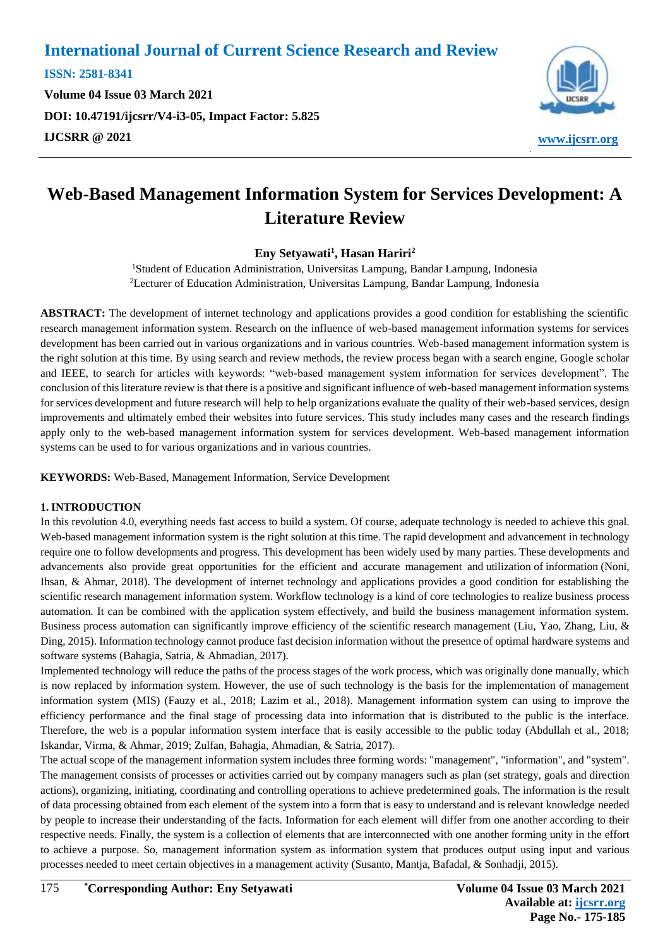**ISSN: 2581-8341 Volume 04 Issue 03 March 2021 DOI: [10.47191/ijcsrr/V4-i3-05,](https://doi.org/10.47191/ijcsrr/V4-i3-05) Impact Factor: [5.825](http://sjifactor.com/passport.php?id=20515) IJCSRR @ 2021 [www.ijcsrr.org](http://www.ijcsrr.org/)**



# **Web-Based Management Information System for Services Development: A Literature Review**

## **Eny Setyawati<sup>1</sup> , Hasan Hariri<sup>2</sup>**

<sup>1</sup>Student of Education Administration, Universitas Lampung, Bandar Lampung, Indonesia <sup>2</sup>Lecturer of Education Administration, Universitas Lampung, Bandar Lampung, Indonesia

**ABSTRACT:** The development of internet technology and applications provides a good condition for establishing the scientific research management information system. Research on the influence of web-based management information systems for services development has been carried out in various organizations and in various countries. Web-based management information system is the right solution at this time. By using search and review methods, the review process began with a search engine, Google scholar and IEEE, to search for articles with keywords: "web-based management system information for services development". The conclusion of this literature review is that there is a positive and significant influence of web-based management information systems for services development and future research will help to help organizations evaluate the quality of their web-based services, design improvements and ultimately embed their websites into future services. This study includes many cases and the research findings apply only to the web-based management information system for services development. Web-based management information systems can be used to for various organizations and in various countries.

**KEYWORDS:** Web-Based, Management Information, Service Development

#### **1. INTRODUCTION**

In this revolution 4.0, everything needs fast access to build a system. Of course, adequate technology is needed to achieve this goal. Web-based management information system is the right solution at this time. The rapid development and advancement in technology require one to follow developments and progress. This development has been widely used by many parties. These developments and advancements also provide great opportunities for the efficient and accurate management and utilization of information (Noni, Ihsan, & Ahmar, 2018). The development of internet technology and applications provides a good condition for establishing the scientific research management information system. Workflow technology is a kind of core technologies to realize business process automation. It can be combined with the application system effectively, and build the business management information system. Business process automation can significantly improve efficiency of the scientific research management (Liu, Yao, Zhang, Liu, & Ding, 2015). Information technology cannot produce fast decision information without the presence of optimal hardware systems and software systems (Bahagia, Satria, & Ahmadian, 2017).

Implemented technology will reduce the paths of the process stages of the work process, which was originally done manually, which is now replaced by information system. However, the use of such technology is the basis for the implementation of management information system (MIS) (Fauzy et al., 2018; Lazim et al., 2018). Management information system can using to improve the efficiency performance and the final stage of processing data into information that is distributed to the public is the interface. Therefore, the web is a popular information system interface that is easily accessible to the public today (Abdullah et al., 2018; Iskandar, Virma, & Ahmar, 2019; Zulfan, Bahagia, Ahmadian, & Satria, 2017).

The actual scope of the management information system includes three forming words: "management", "information", and "system". The management consists of processes or activities carried out by company managers such as plan (set strategy, goals and direction actions), organizing, initiating, coordinating and controlling operations to achieve predetermined goals. The information is the result of data processing obtained from each element of the system into a form that is easy to understand and is relevant knowledge needed by people to increase their understanding of the facts. Information for each element will differ from one another according to their respective needs. Finally, the system is a collection of elements that are interconnected with one another forming unity in the effort to achieve a purpose. So, management information system as information system that produces output using input and various processes needed to meet certain objectives in a management activity (Susanto, Mantja, Bafadal, & Sonhadji, 2015).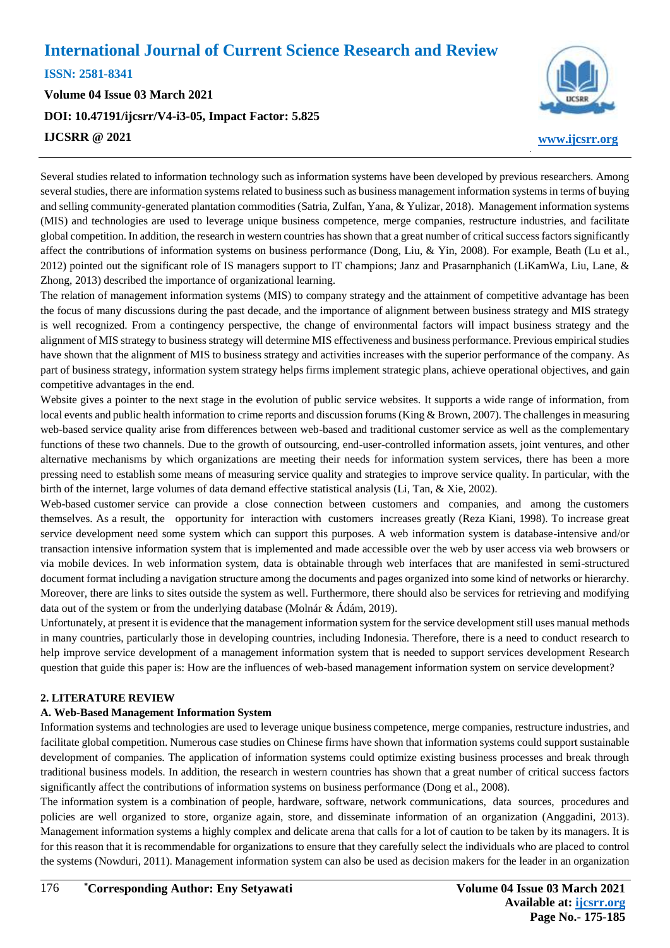**ISSN: 2581-8341** 

**Volume 04 Issue 03 March 2021 DOI: [10.47191/ijcsrr/V4-i3-05,](https://doi.org/10.47191/ijcsrr/V4-i3-05) Impact Factor: [5.825](http://sjifactor.com/passport.php?id=20515) IJCSRR @ 2021 [www.ijcsrr.org](http://www.ijcsrr.org/)**



Several studies related to information technology such as information systems have been developed by previous researchers. Among several studies, there are information systems related to business such as business management information systems in terms of buying and selling community-generated plantation commodities (Satria, Zulfan, Yana, & Yulizar, 2018). Management information systems (MIS) and technologies are used to leverage unique business competence, merge companies, restructure industries, and facilitate global competition. In addition, the research in western countries has shown that a great number of critical success factors significantly affect the contributions of information systems on business performance (Dong, Liu, & Yin, 2008). For example, Beath (Lu et al., 2012) pointed out the significant role of IS managers support to IT champions; Janz and Prasarnphanich (LiKamWa, Liu, Lane,  $\&$ Zhong, 2013) described the importance of organizational learning.

The relation of management information systems (MIS) to company strategy and the attainment of competitive advantage has been the focus of many discussions during the past decade, and the importance of alignment between business strategy and MIS strategy is well recognized. From a contingency perspective, the change of environmental factors will impact business strategy and the alignment of MIS strategy to business strategy will determine MIS effectiveness and business performance. Previous empirical studies have shown that the alignment of MIS to business strategy and activities increases with the superior performance of the company. As part of business strategy, information system strategy helps firms implement strategic plans, achieve operational objectives, and gain competitive advantages in the end.

Website gives a pointer to the next stage in the evolution of public service websites. It supports a wide range of information, from local events and public health information to crime reports and discussion forums (King & Brown, 2007). The challenges in measuring web-based service quality arise from differences between web-based and traditional customer service as well as the complementary functions of these two channels. Due to the growth of outsourcing, end-user-controlled information assets, joint ventures, and other alternative mechanisms by which organizations are meeting their needs for information system services, there has been a more pressing need to establish some means of measuring service quality and strategies to improve service quality. In particular, with the birth of the internet, large volumes of data demand effective statistical analysis (Li, Tan, & Xie, 2002).

Web-based customer service can provide a close connection between customers and companies, and among the customers themselves. As a result, the opportunity for interaction with customers increases greatly (Reza Kiani, 1998). To increase great service development need some system which can support this purposes. A web information system is database-intensive and/or transaction intensive information system that is implemented and made accessible over the web by user access via web browsers or via mobile devices. In web information system, data is obtainable through web interfaces that are manifested in semi-structured document format including a navigation structure among the documents and pages organized into some kind of networks or hierarchy. Moreover, there are links to sites outside the system as well. Furthermore, there should also be services for retrieving and modifying data out of the system or from the underlying database (Molnár & Ádám, 2019).

Unfortunately, at present it is evidence that the management information system for the service development still uses manual methods in many countries, particularly those in developing countries, including Indonesia. Therefore, there is a need to conduct research to help improve service development of a management information system that is needed to support services development Research question that guide this paper is: How are the influences of web-based management information system on service development?

#### **2. LITERATURE REVIEW**

#### **A. Web-Based Management Information System**

Information systems and technologies are used to leverage unique business competence, merge companies, restructure industries, and facilitate global competition. Numerous case studies on Chinese firms have shown that information systems could support sustainable development of companies. The application of information systems could optimize existing business processes and break through traditional business models. In addition, the research in western countries has shown that a great number of critical success factors significantly affect the contributions of information systems on business performance (Dong et al., 2008).

The information system is a combination of people, hardware, software, network communications, data sources, procedures and policies are well organized to store, organize again, store, and disseminate information of an organization (Anggadini, 2013). Management information systems a highly complex and delicate arena that calls for a lot of caution to be taken by its managers. It is for this reason that it is recommendable for organizations to ensure that they carefully select the individuals who are placed to control the systems (Nowduri, 2011). Management information system can also be used as decision makers for the leader in an organization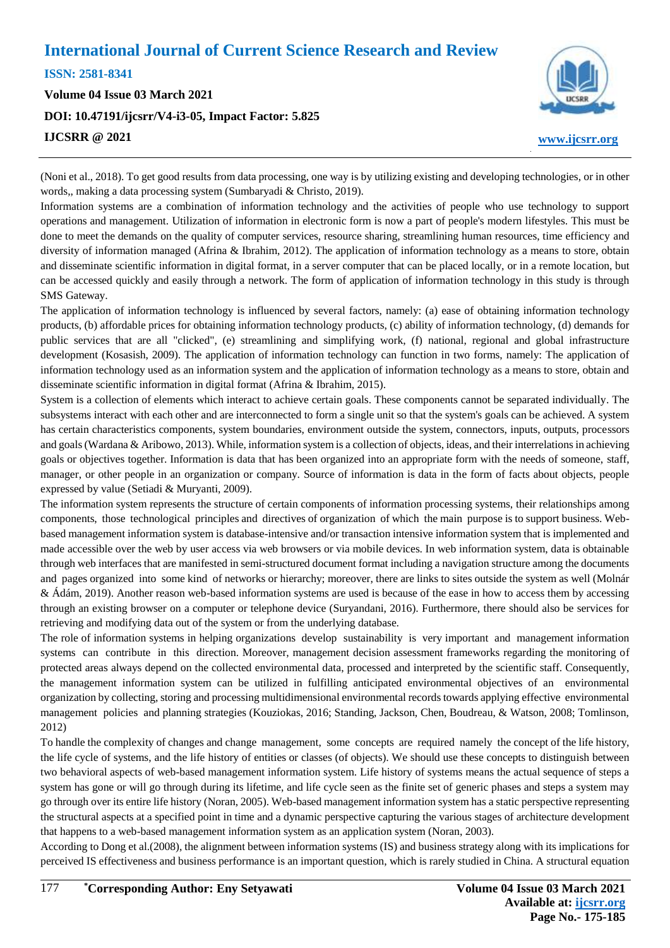**ISSN: 2581-8341** 

**Volume 04 Issue 03 March 2021 DOI: [10.47191/ijcsrr/V4-i3-05,](https://doi.org/10.47191/ijcsrr/V4-i3-05) Impact Factor: [5.825](http://sjifactor.com/passport.php?id=20515) IJCSRR @ 2021 [www.ijcsrr.org](http://www.ijcsrr.org/)**



(Noni et al., 2018). To get good results from data processing, one way is by utilizing existing and developing technologies, or in other words,, making a data processing system (Sumbaryadi & Christo, 2019).

Information systems are a combination of information technology and the activities of people who use technology to support operations and management. Utilization of information in electronic form is now a part of people's modern lifestyles. This must be done to meet the demands on the quality of computer services, resource sharing, streamlining human resources, time efficiency and diversity of information managed (Afrina & Ibrahim, 2012). The application of information technology as a means to store, obtain and disseminate scientific information in digital format, in a server computer that can be placed locally, or in a remote location, but can be accessed quickly and easily through a network. The form of application of information technology in this study is through SMS Gateway.

The application of information technology is influenced by several factors, namely: (a) ease of obtaining information technology products, (b) affordable prices for obtaining information technology products, (c) ability of information technology, (d) demands for public services that are all "clicked", (e) streamlining and simplifying work, (f) national, regional and global infrastructure development (Kosasish, 2009). The application of information technology can function in two forms, namely: The application of information technology used as an information system and the application of information technology as a means to store, obtain and disseminate scientific information in digital format (Afrina & Ibrahim, 2015).

System is a collection of elements which interact to achieve certain goals. These components cannot be separated individually. The subsystems interact with each other and are interconnected to form a single unit so that the system's goals can be achieved. A system has certain characteristics components, system boundaries, environment outside the system, connectors, inputs, outputs, processors and goals (Wardana & Aribowo, 2013). While, information system is a collection of objects, ideas, and their interrelations in achieving goals or objectives together. Information is data that has been organized into an appropriate form with the needs of someone, staff, manager, or other people in an organization or company. Source of information is data in the form of facts about objects, people expressed by value (Setiadi & Muryanti, 2009).

The information system represents the structure of certain components of information processing systems, their relationships among components, those technological principles and directives of organization of which the main purpose is to support business. Webbased management information system is database-intensive and/or transaction intensive information system that is implemented and made accessible over the web by user access via web browsers or via mobile devices. In web information system, data is obtainable through web interfaces that are manifested in semi-structured document format including a navigation structure among the documents and pages organized into some kind of networks or hierarchy; moreover, there are links to sites outside the system as well (Molnár & Ádám, 2019). Another reason web-based information systems are used is because of the ease in how to access them by accessing through an existing browser on a computer or telephone device (Suryandani, 2016). Furthermore, there should also be services for retrieving and modifying data out of the system or from the underlying database.

The role of information systems in helping organizations develop sustainability is very important and management information systems can contribute in this direction. Moreover, management decision assessment frameworks regarding the monitoring of protected areas always depend on the collected environmental data, processed and interpreted by the scientific staff. Consequently, the management information system can be utilized in fulfilling anticipated environmental objectives of an environmental organization by collecting, storing and processing multidimensional environmental records towards applying effective environmental management policies and planning strategies (Kouziokas, 2016; Standing, Jackson, Chen, Boudreau, & Watson, 2008; Tomlinson, 2012)

To handle the complexity of changes and change management, some concepts are required namely the concept of the life history, the life cycle of systems, and the life history of entities or classes (of objects). We should use these concepts to distinguish between two behavioral aspects of web-based management information system. Life history of systems means the actual sequence of steps a system has gone or will go through during its lifetime, and life cycle seen as the finite set of generic phases and steps a system may go through over its entire life history (Noran, 2005). Web-based management information system has a static perspective representing the structural aspects at a specified point in time and a dynamic perspective capturing the various stages of architecture development that happens to a web-based management information system as an application system (Noran, 2003).

According to Dong et al.(2008), the alignment between information systems (IS) and business strategy along with its implications for perceived IS effectiveness and business performance is an important question, which is rarely studied in China. A structural equation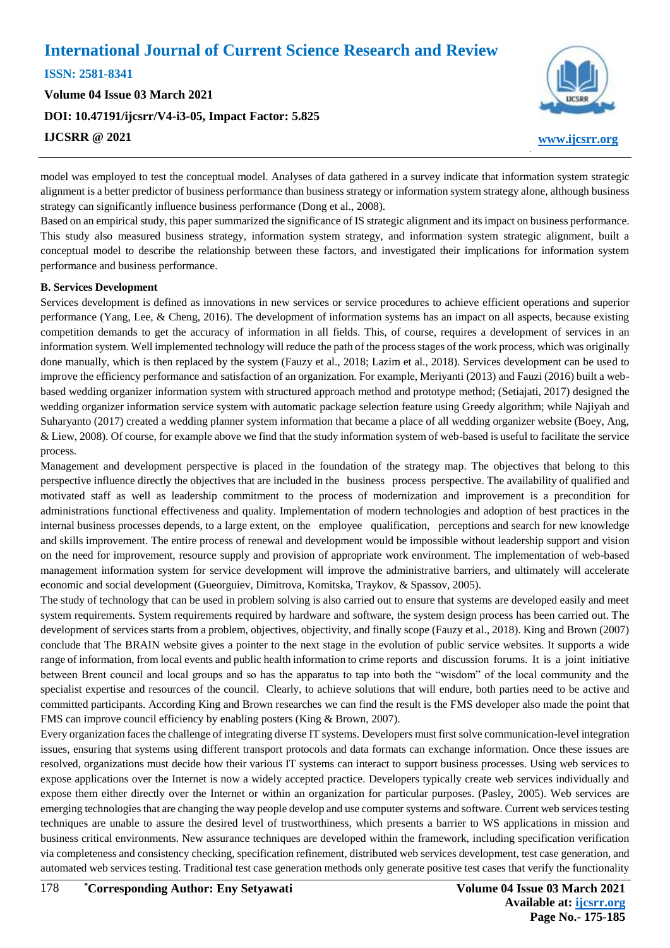**ISSN: 2581-8341 Volume 04 Issue 03 March 2021 DOI: [10.47191/ijcsrr/V4-i3-05,](https://doi.org/10.47191/ijcsrr/V4-i3-05) Impact Factor: [5.825](http://sjifactor.com/passport.php?id=20515) IJCSRR @ 2021 [www.ijcsrr.org](http://www.ijcsrr.org/)**



model was employed to test the conceptual model. Analyses of data gathered in a survey indicate that information system strategic alignment is a better predictor of business performance than business strategy or information system strategy alone, although business strategy can significantly influence business performance (Dong et al., 2008).

Based on an empirical study, this paper summarized the significance of IS strategic alignment and its impact on business performance. This study also measured business strategy, information system strategy, and information system strategic alignment, built a conceptual model to describe the relationship between these factors, and investigated their implications for information system performance and business performance.

#### **B. Services Development**

Services development is defined as innovations in new services or service procedures to achieve efficient operations and superior performance (Yang, Lee, & Cheng, 2016). The development of information systems has an impact on all aspects, because existing competition demands to get the accuracy of information in all fields. This, of course, requires a development of services in an information system. Well implemented technology will reduce the path of the process stages of the work process, which was originally done manually, which is then replaced by the system (Fauzy et al., 2018; Lazim et al., 2018). Services development can be used to improve the efficiency performance and satisfaction of an organization. For example, Meriyanti (2013) and Fauzi (2016) built a webbased wedding organizer information system with structured approach method and prototype method; (Setiajati, 2017) designed the wedding organizer information service system with automatic package selection feature using Greedy algorithm; while Najiyah and Suharyanto (2017) created a wedding planner system information that became a place of all wedding organizer website (Boey, Ang, & Liew, 2008). Of course, for example above we find that the study information system of web-based is useful to facilitate the service process.

Management and development perspective is placed in the foundation of the strategy map. The objectives that belong to this perspective influence directly the objectives that are included in the business process perspective. The availability of qualified and motivated staff as well as leadership commitment to the process of modernization and improvement is a precondition for administrations functional effectiveness and quality. Implementation of modern technologies and adoption of best practices in the internal business processes depends, to a large extent, on the employee qualification, perceptions and search for new knowledge and skills improvement. The entire process of renewal and development would be impossible without leadership support and vision on the need for improvement, resource supply and provision of appropriate work environment. The implementation of web-based management information system for service development will improve the administrative barriers, and ultimately will accelerate economic and social development (Gueorguiev, Dimitrova, Komitska, Traykov, & Spassov, 2005).

The study of technology that can be used in problem solving is also carried out to ensure that systems are developed easily and meet system requirements. System requirements required by hardware and software, the system design process has been carried out. The development of services starts from a problem, objectives, objectivity, and finally scope (Fauzy et al., 2018). King and Brown (2007) conclude that The BRAIN website gives a pointer to the next stage in the evolution of public service websites. It supports a wide range of information, from local events and public health information to crime reports and discussion forums. It is a joint initiative between Brent council and local groups and so has the apparatus to tap into both the "wisdom" of the local community and the specialist expertise and resources of the council. Clearly, to achieve solutions that will endure, both parties need to be active and committed participants. According King and Brown researches we can find the result is the FMS developer also made the point that FMS can improve council efficiency by enabling posters (King & Brown, 2007).

Every organization faces the challenge of integrating diverse IT systems. Developers must first solve communication-level integration issues, ensuring that systems using different transport protocols and data formats can exchange information. Once these issues are resolved, organizations must decide how their various IT systems can interact to support business processes. Using web services to expose applications over the Internet is now a widely accepted practice. Developers typically create web services individually and expose them either directly over the Internet or within an organization for particular purposes. (Pasley, 2005). Web services are emerging technologies that are changing the way people develop and use computer systems and software. Current web services testing techniques are unable to assure the desired level of trustworthiness, which presents a barrier to WS applications in mission and business critical environments. New assurance techniques are developed within the framework, including specification verification via completeness and consistency checking, specification refinement, distributed web services development, test case generation, and automated web services testing. Traditional test case generation methods only generate positive test cases that verify the functionality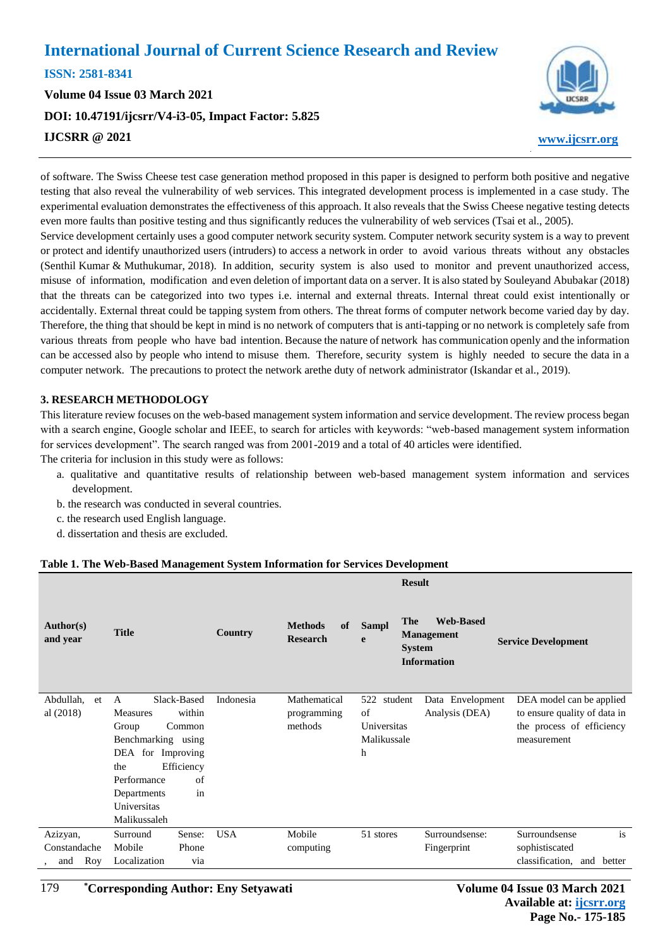**ISSN: 2581-8341** 

**Volume 04 Issue 03 March 2021 DOI: [10.47191/ijcsrr/V4-i3-05,](https://doi.org/10.47191/ijcsrr/V4-i3-05) Impact Factor: [5.825](http://sjifactor.com/passport.php?id=20515) IJCSRR @ 2021 [www.ijcsrr.org](http://www.ijcsrr.org/)**



of software. The Swiss Cheese test case generation method proposed in this paper is designed to perform both positive and negative testing that also reveal the vulnerability of web services. This integrated development process is implemented in a case study. The experimental evaluation demonstrates the effectiveness of this approach. It also reveals that the Swiss Cheese negative testing detects even more faults than positive testing and thus significantly reduces the vulnerability of web services (Tsai et al., 2005).

Service development certainly uses a good computer network security system. Computer network security system is a way to prevent or protect and identify unauthorized users (intruders) to access a network in order to avoid various threats without any obstacles (Senthil Kumar & Muthukumar, 2018). In addition, security system is also used to monitor and prevent unauthorized access, misuse of information, modification and even deletion of important data on a server. It is also stated by Souleyand Abubakar (2018) that the threats can be categorized into two types i.e. internal and external threats. Internal threat could exist intentionally or accidentally. External threat could be tapping system from others. The threat forms of computer network become varied day by day. Therefore, the thing that should be kept in mind is no network of computers that is anti-tapping or no network is completely safe from various threats from people who have bad intention. Because the nature of network has communication openly and the information can be accessed also by people who intend to misuse them. Therefore, security system is highly needed to secure the data in a computer network. The precautions to protect the network arethe duty of network administrator (Iskandar et al., 2019).

#### **3. RESEARCH METHODOLOGY**

This literature review focuses on the web-based management system information and service development. The review process began with a search engine, Google scholar and IEEE, to search for articles with keywords: "web-based management system information for services development". The search ranged was from 2001-2019 and a total of 40 articles were identified.

The criteria for inclusion in this study were as follows:

- a. qualitative and quantitative results of relationship between web-based management system information and services development.
- b. the research was conducted in several countries.
- c. the research used English language.
- d. dissertation and thesis are excluded.

#### **Table 1. The Web-Based Management System Information for Services Development**

| <b>Web-Based</b><br><b>The</b><br><b>Methods</b><br>of<br><b>Sampl</b><br>Author(s)<br><b>Title</b><br>Country<br><b>Management</b>                                                                                                                                                                                                                                                                                                                                                                       |        |
|-----------------------------------------------------------------------------------------------------------------------------------------------------------------------------------------------------------------------------------------------------------------------------------------------------------------------------------------------------------------------------------------------------------------------------------------------------------------------------------------------------------|--------|
| and year<br><b>Research</b><br>e<br><b>Service Development</b><br><b>System</b><br><b>Information</b>                                                                                                                                                                                                                                                                                                                                                                                                     |        |
| Slack-Based<br>Indonesia<br>Mathematical<br>Abdullah,<br>522<br>student<br>Data Envelopment<br>DEA model can be applied<br>et<br>A<br>within<br>al (2018)<br>of<br>Analysis (DEA)<br>to ensure quality of data in<br><b>Measures</b><br>programming<br>methods<br>Universitas<br>the process of efficiency<br>Common<br>Group<br>Benchmarking using<br>Malikussale<br>measurement<br>DEA for Improving<br>h<br>Efficiency<br>the<br>of<br>Performance<br>in<br>Departments<br>Universitas<br>Malikussaleh |        |
| <b>USA</b><br>Mobile<br>Surroundsense:<br>Surroundsense<br>Sense:<br>51 stores<br>Azizyan,<br>Surround                                                                                                                                                                                                                                                                                                                                                                                                    | is     |
| Constandache<br>Mobile<br>Phone<br>Fingerprint<br>sophistiscated<br>computing                                                                                                                                                                                                                                                                                                                                                                                                                             |        |
| classification, and<br>Localization<br>Roy<br>via<br>and                                                                                                                                                                                                                                                                                                                                                                                                                                                  | better |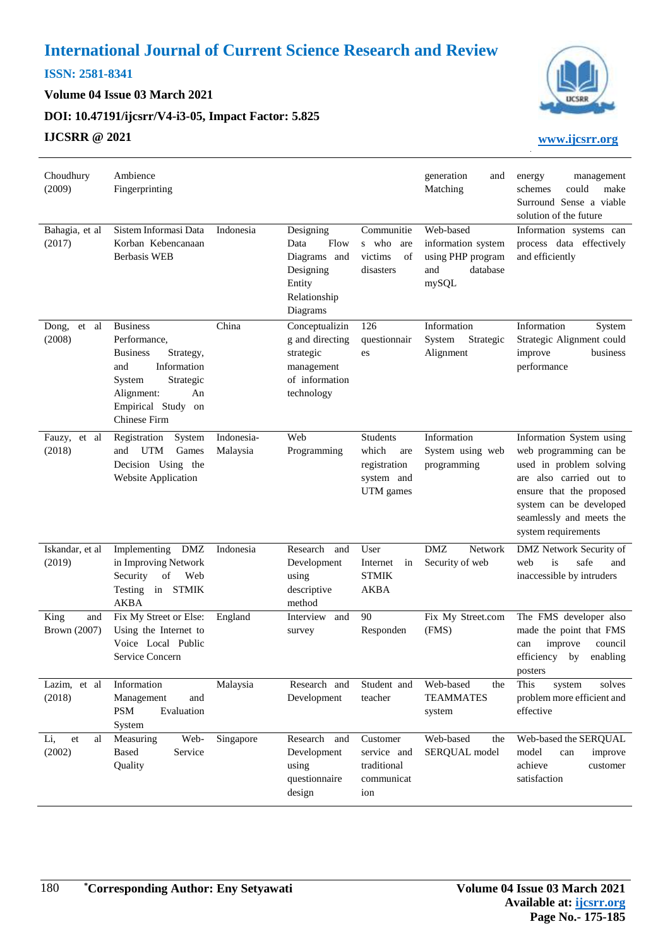## **ISSN: 2581-8341**

**Volume 04 Issue 03 March 2021**

**DOI: [10.47191/ijcsrr/V4-i3-05,](https://doi.org/10.47191/ijcsrr/V4-i3-05) Impact Factor: [5.825](http://sjifactor.com/passport.php?id=20515)**

## **IJCSRR @ 2021 [www.ijcsrr.org](http://www.ijcsrr.org/)**



| Choudhury<br>(2009)         | Ambience<br>Fingerprinting                                                                                                                                                    |                        |                                                                                              |                                                                     | generation<br>and<br>Matching                                                    | management<br>energy<br>schemes<br>could<br>make<br>Surround Sense a viable<br>solution of the future                                                                                                              |
|-----------------------------|-------------------------------------------------------------------------------------------------------------------------------------------------------------------------------|------------------------|----------------------------------------------------------------------------------------------|---------------------------------------------------------------------|----------------------------------------------------------------------------------|--------------------------------------------------------------------------------------------------------------------------------------------------------------------------------------------------------------------|
| Bahagia, et al<br>(2017)    | Sistem Informasi Data<br>Korban Kebencanaan<br><b>Berbasis WEB</b>                                                                                                            | Indonesia              | Designing<br>Data<br>Flow<br>Diagrams and<br>Designing<br>Entity<br>Relationship<br>Diagrams | Communitie<br>s who<br>are<br>victims<br>of<br>disasters            | Web-based<br>information system<br>using PHP program<br>database<br>and<br>mySQL | Information systems can<br>process data effectively<br>and efficiently                                                                                                                                             |
| Dong, et al<br>(2008)       | <b>Business</b><br>Performance,<br><b>Business</b><br>Strategy,<br>Information<br>and<br>Strategic<br>System<br>Alignment:<br>An<br>Empirical Study on<br><b>Chinese Firm</b> | China                  | Conceptualizin<br>g and directing<br>strategic<br>management<br>of information<br>technology | 126<br>questionnair<br>es                                           | Information<br>System<br>Strategic<br>Alignment                                  | Information<br>System<br>Strategic Alignment could<br>improve<br>business<br>performance                                                                                                                           |
| Fauzy, et al<br>(2018)      | System<br>Registration<br>UTM<br>Games<br>and<br>Decision Using the<br><b>Website Application</b>                                                                             | Indonesia-<br>Malaysia | Web<br>Programming                                                                           | Students<br>which<br>are<br>registration<br>system and<br>UTM games | Information<br>System using web<br>programming                                   | Information System using<br>web programming can be<br>used in problem solving<br>are also carried out to<br>ensure that the proposed<br>system can be developed<br>seamlessly and meets the<br>system requirements |
| Iskandar, et al<br>(2019)   | Implementing DMZ<br>in Improving Network<br>Security<br>of<br>Web<br>Testing in STMIK<br><b>AKBA</b>                                                                          | Indonesia              | Research<br>and<br>Development<br>using<br>descriptive<br>method                             | User<br>Internet<br>in<br><b>STMIK</b><br>AKBA                      | <b>DMZ</b><br>Network<br>Security of web                                         | DMZ Network Security of<br>safe<br>web<br>is<br>and<br>inaccessible by intruders                                                                                                                                   |
| King<br>and<br>Brown (2007) | Fix My Street or Else:<br>Using the Internet to<br>Voice Local Public<br>Service Concern                                                                                      | England                | Interview<br>and<br>survey                                                                   | 90<br>Responden                                                     | Fix My Street.com<br>(FMS)                                                       | The FMS developer also<br>made the point that FMS<br>improve<br>council<br>can<br>efficiency by<br>enabling<br>posters                                                                                             |
| Lazim, et al<br>(2018)      | Information<br>Management<br>and<br>Evaluation<br>PSM<br>System                                                                                                               | Malaysia               | Research and<br>Development                                                                  | Student and<br>teacher                                              | Web-based<br>the<br><b>TEAMMATES</b><br>system                                   | This<br>solves<br>system<br>problem more efficient and<br>effective                                                                                                                                                |
| Li,<br>et<br>al<br>(2002)   | Web-<br>Measuring<br><b>Based</b><br>Service<br>Quality                                                                                                                       | Singapore              | Research and<br>Development<br>using<br>questionnaire<br>design                              | Customer<br>service and<br>traditional<br>communicat<br>ion         | Web-based<br>the<br>SERQUAL model                                                | Web-based the SERQUAL<br>model<br>can<br>improve<br>achieve<br>customer<br>satisfaction                                                                                                                            |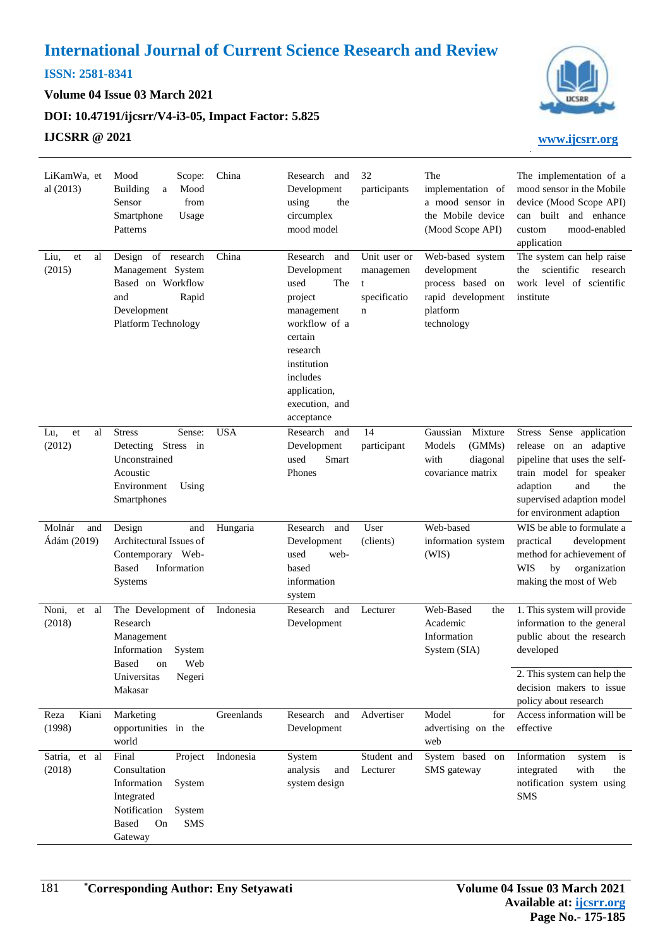## **ISSN: 2581-8341**

**Volume 04 Issue 03 March 2021**

## **DOI: [10.47191/ijcsrr/V4-i3-05,](https://doi.org/10.47191/ijcsrr/V4-i3-05) Impact Factor: [5.825](http://sjifactor.com/passport.php?id=20515)**

## **IJCSRR @ 2021 [www.ijcsrr.org](http://www.ijcsrr.org/)**



| LiKamWa, et<br>al (2013)     | Mood<br>Scope:<br><b>Building</b><br>Mood<br>a<br>Sensor<br>from<br>Smartphone<br>Usage<br>Patterns                                       | China      | Research and<br>Development<br>using<br>the<br>circumplex<br>mood model                                                                                                                   | 32<br>participants                                  | The<br>implementation of<br>a mood sensor in<br>the Mobile device<br>(Mood Scope API)              | The implementation of a<br>mood sensor in the Mobile<br>device (Mood Scope API)<br>can built and enhance<br>mood-enabled<br>custom<br>application                                                |
|------------------------------|-------------------------------------------------------------------------------------------------------------------------------------------|------------|-------------------------------------------------------------------------------------------------------------------------------------------------------------------------------------------|-----------------------------------------------------|----------------------------------------------------------------------------------------------------|--------------------------------------------------------------------------------------------------------------------------------------------------------------------------------------------------|
| Liu,<br>et<br>al<br>(2015)   | Design of research<br>Management System<br>Based on Workflow<br>and<br>Rapid<br>Development<br>Platform Technology                        | China      | Research<br>and<br>Development<br>used<br>The<br>project<br>management<br>workflow of a<br>certain<br>research<br>institution<br>includes<br>application,<br>execution, and<br>acceptance | Unit user or<br>managemen<br>t<br>specificatio<br>n | Web-based system<br>development<br>process based on<br>rapid development<br>platform<br>technology | The system can help raise<br>scientific<br>research<br>the<br>work level of scientific<br>institute                                                                                              |
| Lu,<br>et<br>al<br>(2012)    | <b>Stress</b><br>Sense:<br>Detecting Stress in<br>Unconstrained<br>Acoustic<br>Environment<br>Using<br>Smartphones                        | <b>USA</b> | Research and<br>Development<br>Smart<br>used<br>Phones                                                                                                                                    | 14<br>participant                                   | Gaussian<br>Mixture<br>Models<br>(GMMs)<br>with<br>diagonal<br>covariance matrix                   | Stress Sense application<br>release on an adaptive<br>pipeline that uses the self-<br>train model for speaker<br>adaption<br>and<br>the<br>supervised adaption model<br>for environment adaption |
| Molnár<br>and<br>Ádám (2019) | Design<br>and<br>Architectural Issues of<br>Contemporary Web-<br><b>Based</b><br>Information<br><b>Systems</b>                            | Hungaria   | Research<br>and<br>Development<br>used<br>web-<br>based<br>information<br>system                                                                                                          | User<br>(clients)                                   | Web-based<br>information system<br>(WIS)                                                           | WIS be able to formulate a<br>practical<br>development<br>method for achievement of<br>organization<br>WIS<br>by<br>making the most of Web                                                       |
| Noni,<br>et<br>al<br>(2018)  | The Development of<br>Research<br>Management<br>Information<br>System<br>Based<br>Web<br>on<br>Universitas<br>Negeri<br>Makasar           | Indonesia  | Research<br>and<br>Development                                                                                                                                                            | Lecturer                                            | Web-Based<br>the<br>Academic<br>Information<br>System (SIA)                                        | 1. This system will provide<br>information to the general<br>public about the research<br>developed<br>2. This system can help the<br>decision makers to issue                                   |
| Kiani<br>Reza<br>(1998)      | Marketing<br>opportunities in the<br>world                                                                                                | Greenlands | Research and<br>Development                                                                                                                                                               | Advertiser                                          | Model<br>for<br>advertising on the<br>web                                                          | policy about research<br>Access information will be<br>effective                                                                                                                                 |
| Satria, et al<br>(2018)      | Final<br>Project<br>Consultation<br>Information<br>System<br>Integrated<br>Notification<br>System<br>Based<br>On<br><b>SMS</b><br>Gateway | Indonesia  | System<br>analysis<br>and<br>system design                                                                                                                                                | Student and<br>Lecturer                             | System based on<br>SMS gateway                                                                     | Information<br>system<br>is<br>with<br>integrated<br>the<br>notification system using<br><b>SMS</b>                                                                                              |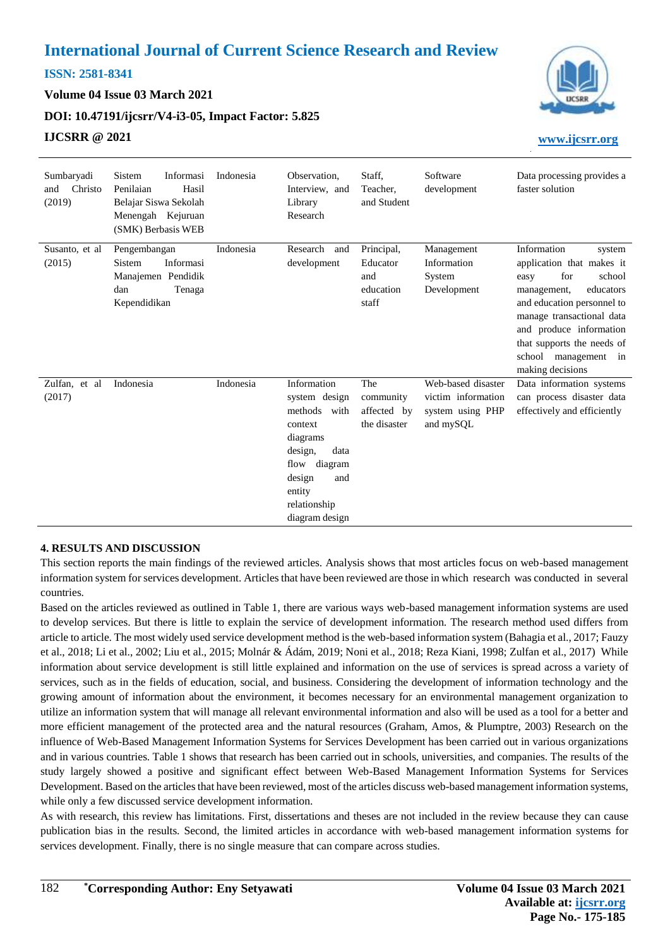## **ISSN: 2581-8341**

**Volume 04 Issue 03 March 2021**

**DOI: [10.47191/ijcsrr/V4-i3-05,](https://doi.org/10.47191/ijcsrr/V4-i3-05) Impact Factor: [5.825](http://sjifactor.com/passport.php?id=20515)**

## **IJCSRR @ 2021 [www.ijcsrr.org](http://www.ijcsrr.org/)**



| Sumbaryadi<br>Christo<br>and<br>(2019) | Sistem<br>Informasi<br>Penilaian<br>Hasil<br>Belajar Siswa Sekolah<br>Menengah Kejuruan<br>(SMK) Berbasis WEB | Indonesia | Observation.<br>Interview, and<br>Library<br>Research                                                                                                                  | Staff.<br>Teacher,<br>and Student                   | Software<br>development                                                   | Data processing provides a<br>faster solution                                                                                                                                                                                                                           |
|----------------------------------------|---------------------------------------------------------------------------------------------------------------|-----------|------------------------------------------------------------------------------------------------------------------------------------------------------------------------|-----------------------------------------------------|---------------------------------------------------------------------------|-------------------------------------------------------------------------------------------------------------------------------------------------------------------------------------------------------------------------------------------------------------------------|
| Susanto, et al.<br>(2015)              | Pengembangan<br>Informasi<br>Sistem<br>Manajemen Pendidik<br>dan<br>Tenaga<br>Kependidikan                    | Indonesia | Research<br>and<br>development                                                                                                                                         | Principal,<br>Educator<br>and<br>education<br>staff | Management<br>Information<br>System<br>Development                        | Information<br>system<br>application that makes it<br>for<br>school<br>easy<br>educators<br>management,<br>and education personnel to<br>manage transactional data<br>and produce information<br>that supports the needs of<br>school management in<br>making decisions |
| Zulfan, et al<br>(2017)                | Indonesia                                                                                                     | Indonesia | Information<br>system design<br>methods<br>with<br>context<br>diagrams<br>design,<br>data<br>flow diagram<br>design<br>and<br>entity<br>relationship<br>diagram design | The<br>community<br>affected by<br>the disaster     | Web-based disaster<br>victim information<br>system using PHP<br>and mySQL | Data information systems<br>can process disaster data<br>effectively and efficiently                                                                                                                                                                                    |

#### **4. RESULTS AND DISCUSSION**

This section reports the main findings of the reviewed articles. Analysis shows that most articles focus on web-based management information system for services development. Articles that have been reviewed are those in which research was conducted in several countries.

Based on the articles reviewed as outlined in Table 1, there are various ways web-based management information systems are used to develop services. But there is little to explain the service of development information. The research method used differs from article to article. The most widely used service development method is the web-based information system (Bahagia et al., 2017; Fauzy et al., 2018; Li et al., 2002; Liu et al., 2015; Molnár & Ádám, 2019; Noni et al., 2018; Reza Kiani, 1998; Zulfan et al., 2017) While information about service development is still little explained and information on the use of services is spread across a variety of services, such as in the fields of education, social, and business. Considering the development of information technology and the growing amount of information about the environment, it becomes necessary for an environmental management organization to utilize an information system that will manage all relevant environmental information and also will be used as a tool for a better and more efficient management of the protected area and the natural resources (Graham, Amos, & Plumptre, 2003) Research on the influence of Web-Based Management Information Systems for Services Development has been carried out in various organizations and in various countries. Table 1 shows that research has been carried out in schools, universities, and companies. The results of the study largely showed a positive and significant effect between Web-Based Management Information Systems for Services Development. Based on the articles that have been reviewed, most of the articles discuss web-based management information systems, while only a few discussed service development information.

As with research, this review has limitations. First, dissertations and theses are not included in the review because they can cause publication bias in the results. Second, the limited articles in accordance with web-based management information systems for services development. Finally, there is no single measure that can compare across studies.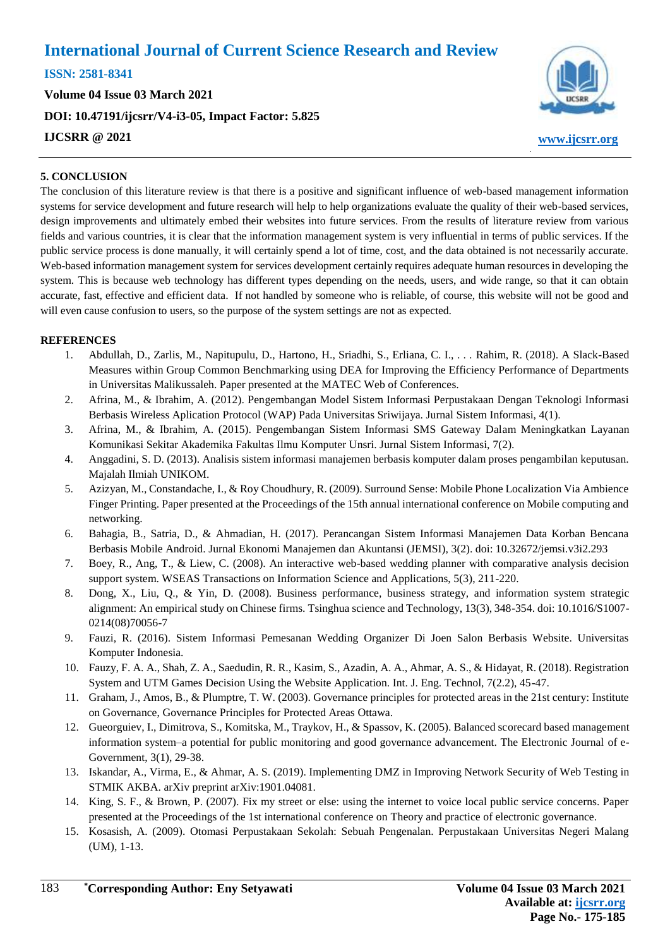**ISSN: 2581-8341** 

**Volume 04 Issue 03 March 2021 DOI: [10.47191/ijcsrr/V4-i3-05,](https://doi.org/10.47191/ijcsrr/V4-i3-05) Impact Factor: [5.825](http://sjifactor.com/passport.php?id=20515) IJCSRR @ 2021 [www.ijcsrr.org](http://www.ijcsrr.org/)**



#### **5. CONCLUSION**

The conclusion of this literature review is that there is a positive and significant influence of web-based management information systems for service development and future research will help to help organizations evaluate the quality of their web-based services, design improvements and ultimately embed their websites into future services. From the results of literature review from various fields and various countries, it is clear that the information management system is very influential in terms of public services. If the public service process is done manually, it will certainly spend a lot of time, cost, and the data obtained is not necessarily accurate. Web-based information management system for services development certainly requires adequate human resources in developing the system. This is because web technology has different types depending on the needs, users, and wide range, so that it can obtain accurate, fast, effective and efficient data. If not handled by someone who is reliable, of course, this website will not be good and will even cause confusion to users, so the purpose of the system settings are not as expected.

#### **REFERENCES**

- 1. Abdullah, D., Zarlis, M., Napitupulu, D., Hartono, H., Sriadhi, S., Erliana, C. I., . . . Rahim, R. (2018). A Slack-Based Measures within Group Common Benchmarking using DEA for Improving the Efficiency Performance of Departments in Universitas Malikussaleh. Paper presented at the MATEC Web of Conferences.
- 2. Afrina, M., & Ibrahim, A. (2012). Pengembangan Model Sistem Informasi Perpustakaan Dengan Teknologi Informasi Berbasis Wireless Aplication Protocol (WAP) Pada Universitas Sriwijaya. Jurnal Sistem Informasi, 4(1).
- 3. Afrina, M., & Ibrahim, A. (2015). Pengembangan Sistem Informasi SMS Gateway Dalam Meningkatkan Layanan Komunikasi Sekitar Akademika Fakultas Ilmu Komputer Unsri. Jurnal Sistem Informasi, 7(2).
- 4. Anggadini, S. D. (2013). Analisis sistem informasi manajemen berbasis komputer dalam proses pengambilan keputusan. Majalah Ilmiah UNIKOM.
- 5. Azizyan, M., Constandache, I., & Roy Choudhury, R. (2009). Surround Sense: Mobile Phone Localization Via Ambience Finger Printing. Paper presented at the Proceedings of the 15th annual international conference on Mobile computing and networking.
- 6. Bahagia, B., Satria, D., & Ahmadian, H. (2017). Perancangan Sistem Informasi Manajemen Data Korban Bencana Berbasis Mobile Android. Jurnal Ekonomi Manajemen dan Akuntansi (JEMSI), 3(2). doi: 10.32672/jemsi.v3i2.293
- 7. Boey, R., Ang, T., & Liew, C. (2008). An interactive web-based wedding planner with comparative analysis decision support system. WSEAS Transactions on Information Science and Applications, 5(3), 211-220.
- 8. Dong, X., Liu, Q., & Yin, D. (2008). Business performance, business strategy, and information system strategic alignment: An empirical study on Chinese firms. Tsinghua science and Technology, 13(3), 348-354. doi: 10.1016/S1007- 0214(08)70056-7
- 9. Fauzi, R. (2016). Sistem Informasi Pemesanan Wedding Organizer Di Joen Salon Berbasis Website. Universitas Komputer Indonesia.
- 10. Fauzy, F. A. A., Shah, Z. A., Saedudin, R. R., Kasim, S., Azadin, A. A., Ahmar, A. S., & Hidayat, R. (2018). Registration System and UTM Games Decision Using the Website Application. Int. J. Eng. Technol, 7(2.2), 45-47.
- 11. Graham, J., Amos, B., & Plumptre, T. W. (2003). Governance principles for protected areas in the 21st century: Institute on Governance, Governance Principles for Protected Areas Ottawa.
- 12. Gueorguiev, I., Dimitrova, S., Komitska, M., Traykov, H., & Spassov, K. (2005). Balanced scorecard based management information system–a potential for public monitoring and good governance advancement. The Electronic Journal of e-Government, 3(1), 29-38.
- 13. Iskandar, A., Virma, E., & Ahmar, A. S. (2019). Implementing DMZ in Improving Network Security of Web Testing in STMIK AKBA. arXiv preprint arXiv:1901.04081.
- 14. King, S. F., & Brown, P. (2007). Fix my street or else: using the internet to voice local public service concerns. Paper presented at the Proceedings of the 1st international conference on Theory and practice of electronic governance.
- 15. Kosasish, A. (2009). Otomasi Perpustakaan Sekolah: Sebuah Pengenalan. Perpustakaan Universitas Negeri Malang (UM), 1-13.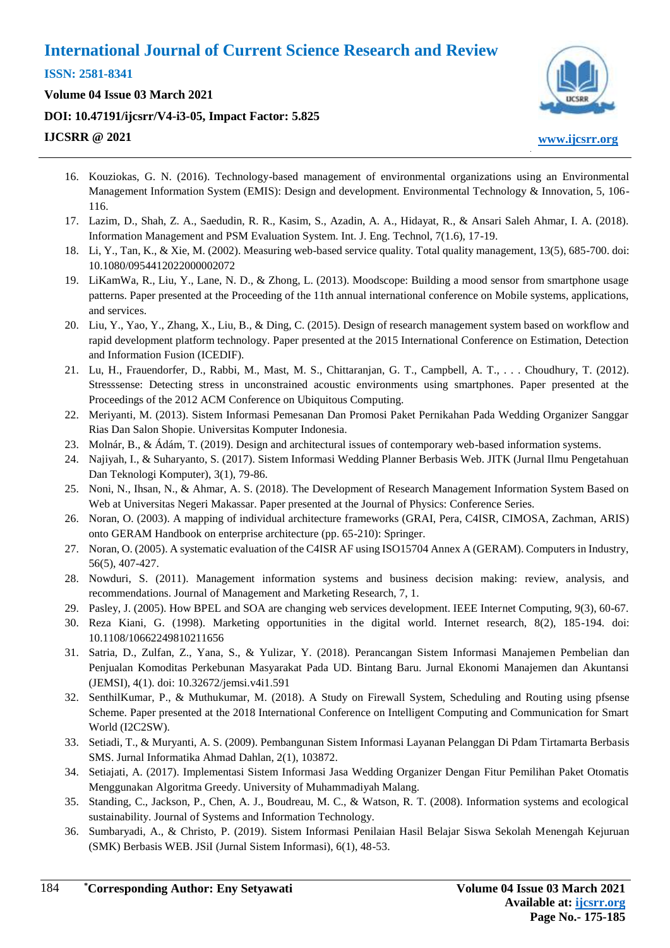**ISSN: 2581-8341** 

**Volume 04 Issue 03 March 2021 DOI: [10.47191/ijcsrr/V4-i3-05,](https://doi.org/10.47191/ijcsrr/V4-i3-05) Impact Factor: [5.825](http://sjifactor.com/passport.php?id=20515) IJCSRR @ 2021 [www.ijcsrr.org](http://www.ijcsrr.org/)**



- 16. Kouziokas, G. N. (2016). Technology-based management of environmental organizations using an Environmental Management Information System (EMIS): Design and development. Environmental Technology & Innovation, 5, 106- 116.
- 17. Lazim, D., Shah, Z. A., Saedudin, R. R., Kasim, S., Azadin, A. A., Hidayat, R., & Ansari Saleh Ahmar, I. A. (2018). Information Management and PSM Evaluation System. Int. J. Eng. Technol, 7(1.6), 17-19.
- 18. Li, Y., Tan, K., & Xie, M. (2002). Measuring web-based service quality. Total quality management, 13(5), 685-700. doi: 10.1080/0954412022000002072
- 19. LiKamWa, R., Liu, Y., Lane, N. D., & Zhong, L. (2013). Moodscope: Building a mood sensor from smartphone usage patterns. Paper presented at the Proceeding of the 11th annual international conference on Mobile systems, applications, and services.
- 20. Liu, Y., Yao, Y., Zhang, X., Liu, B., & Ding, C. (2015). Design of research management system based on workflow and rapid development platform technology. Paper presented at the 2015 International Conference on Estimation, Detection and Information Fusion (ICEDIF).
- 21. Lu, H., Frauendorfer, D., Rabbi, M., Mast, M. S., Chittaranjan, G. T., Campbell, A. T., . . . Choudhury, T. (2012). Stresssense: Detecting stress in unconstrained acoustic environments using smartphones. Paper presented at the Proceedings of the 2012 ACM Conference on Ubiquitous Computing.
- 22. Meriyanti, M. (2013). Sistem Informasi Pemesanan Dan Promosi Paket Pernikahan Pada Wedding Organizer Sanggar Rias Dan Salon Shopie. Universitas Komputer Indonesia.
- 23. Molnár, B., & Ádám, T. (2019). Design and architectural issues of contemporary web-based information systems.
- 24. Najiyah, I., & Suharyanto, S. (2017). Sistem Informasi Wedding Planner Berbasis Web. JITK (Jurnal Ilmu Pengetahuan Dan Teknologi Komputer), 3(1), 79-86.
- 25. Noni, N., Ihsan, N., & Ahmar, A. S. (2018). The Development of Research Management Information System Based on Web at Universitas Negeri Makassar. Paper presented at the Journal of Physics: Conference Series.
- 26. Noran, O. (2003). A mapping of individual architecture frameworks (GRAI, Pera, C4ISR, CIMOSA, Zachman, ARIS) onto GERAM Handbook on enterprise architecture (pp. 65-210): Springer.
- 27. Noran, O. (2005). A systematic evaluation of the C4ISR AF using ISO15704 Annex A (GERAM). Computers in Industry, 56(5), 407-427.
- 28. Nowduri, S. (2011). Management information systems and business decision making: review, analysis, and recommendations. Journal of Management and Marketing Research, 7, 1.
- 29. Pasley, J. (2005). How BPEL and SOA are changing web services development. IEEE Internet Computing, 9(3), 60-67.
- 30. Reza Kiani, G. (1998). Marketing opportunities in the digital world. Internet research, 8(2), 185-194. doi: 10.1108/10662249810211656
- 31. Satria, D., Zulfan, Z., Yana, S., & Yulizar, Y. (2018). Perancangan Sistem Informasi Manajemen Pembelian dan Penjualan Komoditas Perkebunan Masyarakat Pada UD. Bintang Baru. Jurnal Ekonomi Manajemen dan Akuntansi (JEMSI), 4(1). doi: 10.32672/jemsi.v4i1.591
- 32. SenthilKumar, P., & Muthukumar, M. (2018). A Study on Firewall System, Scheduling and Routing using pfsense Scheme. Paper presented at the 2018 International Conference on Intelligent Computing and Communication for Smart World (I2C2SW).
- 33. Setiadi, T., & Muryanti, A. S. (2009). Pembangunan Sistem Informasi Layanan Pelanggan Di Pdam Tirtamarta Berbasis SMS. Jurnal Informatika Ahmad Dahlan, 2(1), 103872.
- 34. Setiajati, A. (2017). Implementasi Sistem Informasi Jasa Wedding Organizer Dengan Fitur Pemilihan Paket Otomatis Menggunakan Algoritma Greedy. University of Muhammadiyah Malang.
- 35. Standing, C., Jackson, P., Chen, A. J., Boudreau, M. C., & Watson, R. T. (2008). Information systems and ecological sustainability. Journal of Systems and Information Technology.
- 36. Sumbaryadi, A., & Christo, P. (2019). Sistem Informasi Penilaian Hasil Belajar Siswa Sekolah Menengah Kejuruan (SMK) Berbasis WEB. JSiI (Jurnal Sistem Informasi), 6(1), 48-53.